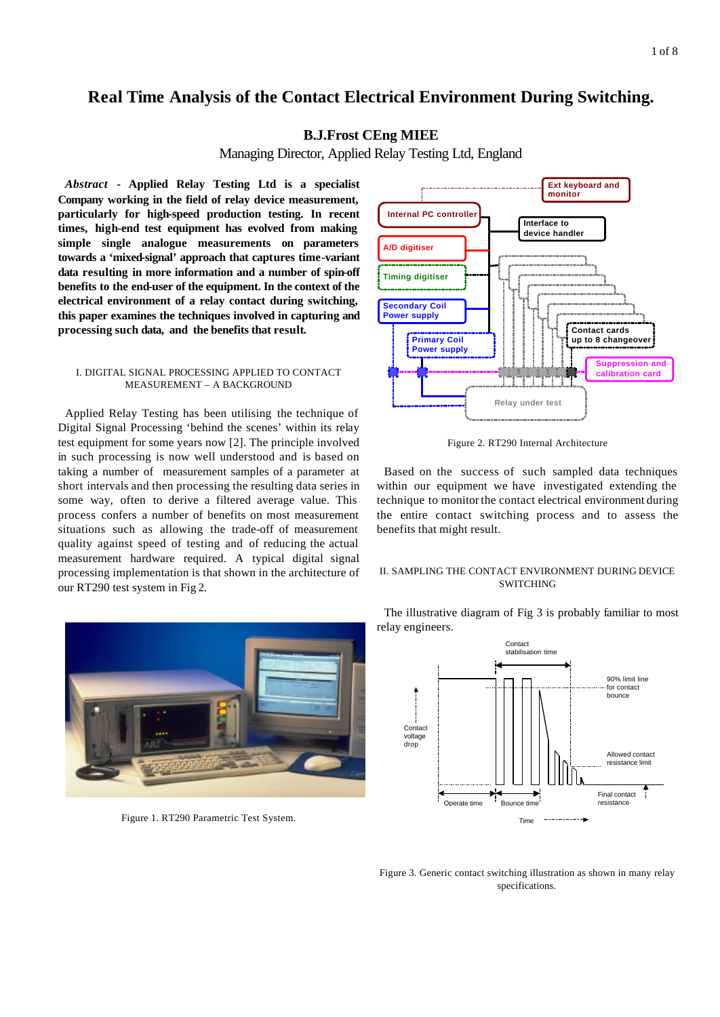# **Real Time Analysis of the Contact Electrical Environment During Switching.**

# **B.J.Frost CEng MIEE**

Managing Director, Applied Relay Testing Ltd, England

*Abstract* **- Applied Relay Testing Ltd is a specialist Company working in the field of relay device measurement, particularly for high-speed production testing. In recent times, high-end test equipment has evolved from making simple single analogue measurements on parameters towards a 'mixed-signal' approach that captures time-variant data resulting in more information and a number of spin-off benefits to the end-user of the equipment. In the context of the electrical environment of a relay contact during switching, this paper examines the techniques involved in capturing and processing such data, and the benefits that result.**

#### I. DIGITAL SIGNAL PROCESSING APPLIED TO CONTACT MEASUREMENT – A BACKGROUND

Applied Relay Testing has been utilising the technique of Digital Signal Processing 'behind the scenes' within its relay test equipment for some years now [2]. The principle involved in such processing is now well understood and is based on taking a number of measurement samples of a parameter at short intervals and then processing the resulting data series in some way, often to derive a filtered average value. This process confers a number of benefits on most measurement situations such as allowing the trade-off of measurement quality against speed of testing and of reducing the actual measurement hardware required. A typical digital signal processing implementation is that shown in the architecture of our RT290 test system in Fig 2.



Figure 1. RT290 Parametric Test System.



Figure 2. RT290 Internal Architecture

Based on the success of such sampled data techniques within our equipment we have investigated extending the technique to monitorthe contact electrical environment during the entire contact switching process and to assess the benefits that might result.

# II. SAMPLING THE CONTACT ENVIRONMENT DURING DEVICE SWITCHING

The illustrative diagram of Fig 3 is probably familiar to most relay engineers.



Figure 3. Generic contact switching illustration as shown in many relay specifications.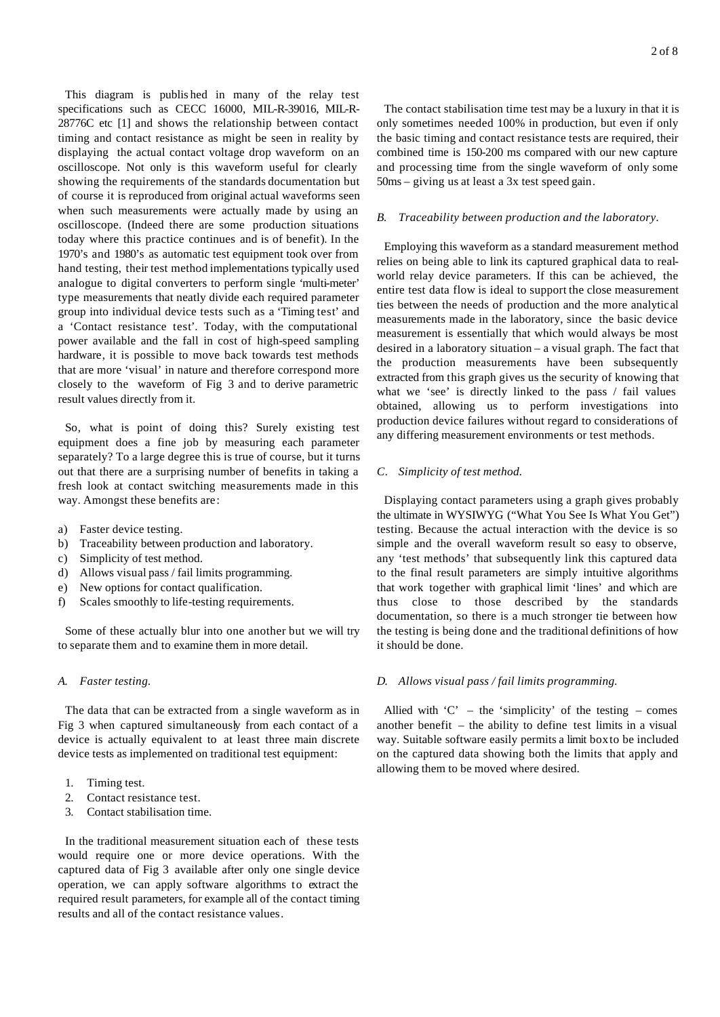This diagram is publis hed in many of the relay test specifications such as CECC 16000, MIL-R-39016, MIL-R-28776C etc [1] and shows the relationship between contact timing and contact resistance as might be seen in reality by displaying the actual contact voltage drop waveform on an oscilloscope. Not only is this waveform useful for clearly showing the requirements of the standards documentation but of course it is reproduced from original actual waveforms seen when such measurements were actually made by using an oscilloscope. (Indeed there are some production situations today where this practice continues and is of benefit). In the 1970's and 1980's as automatic test equipment took over from hand testing, their test method implementations typically used analogue to digital converters to perform single 'multi-meter' type measurements that neatly divide each required parameter group into individual device tests such as a 'Timing test' and a 'Contact resistance test'. Today, with the computational power available and the fall in cost of high-speed sampling hardware, it is possible to move back towards test methods that are more 'visual' in nature and therefore correspond more closely to the waveform of Fig 3 and to derive parametric result values directly from it.

So, what is point of doing this? Surely existing test equipment does a fine job by measuring each parameter separately? To a large degree this is true of course, but it turns out that there are a surprising number of benefits in taking a fresh look at contact switching measurements made in this way. Amongst these benefits are:

- a) Faster device testing.
- b) Traceability between production and laboratory.
- c) Simplicity of test method.
- d) Allows visual pass / fail limits programming.
- e) New options for contact qualification.
- f) Scales smoothly to life-testing requirements.

Some of these actually blur into one another but we will try to separate them and to examine them in more detail.

## *A. Faster testing.*

The data that can be extracted from a single waveform as in Fig 3 when captured simultaneously from each contact of a device is actually equivalent to at least three main discrete device tests as implemented on traditional test equipment:

- 1. Timing test.
- 2. Contact resistance test.
- 3. Contact stabilisation time.

In the traditional measurement situation each of these tests would require one or more device operations. With the captured data of Fig 3 available after only one single device operation, we can apply software algorithms to extract the required result parameters, for example all of the contact timing results and all of the contact resistance values.

The contact stabilisation time test may be a luxury in that it is only sometimes needed 100% in production, but even if only the basic timing and contact resistance tests are required, their combined time is 150-200 ms compared with our new capture and processing time from the single waveform of only some 50ms – giving us at least a 3x test speed gain.

#### *B. Traceability between production and the laboratory.*

Employing this waveform as a standard measurement method relies on being able to link its captured graphical data to realworld relay device parameters. If this can be achieved, the entire test data flow is ideal to support the close measurement ties between the needs of production and the more analytical measurements made in the laboratory, since the basic device measurement is essentially that which would always be most desired in a laboratory situation – a visual graph. The fact that the production measurements have been subsequently extracted from this graph gives us the security of knowing that what we 'see' is directly linked to the pass / fail values obtained, allowing us to perform investigations into production device failures without regard to considerations of any differing measurement environments or test methods.

#### *C. Simplicity of test method.*

Displaying contact parameters using a graph gives probably the ultimate in WYSIWYG ("What You See Is What You Get") testing. Because the actual interaction with the device is so simple and the overall waveform result so easy to observe, any 'test methods' that subsequently link this captured data to the final result parameters are simply intuitive algorithms that work together with graphical limit 'lines' and which are thus close to those described by the standards documentation, so there is a much stronger tie between how the testing is being done and the traditional definitions of how it should be done.

#### *D. Allows visual pass / fail limits programming.*

Allied with 'C' – the 'simplicity' of the testing – comes another benefit – the ability to define test limits in a visual way. Suitable software easily permits a limit boxto be included on the captured data showing both the limits that apply and allowing them to be moved where desired.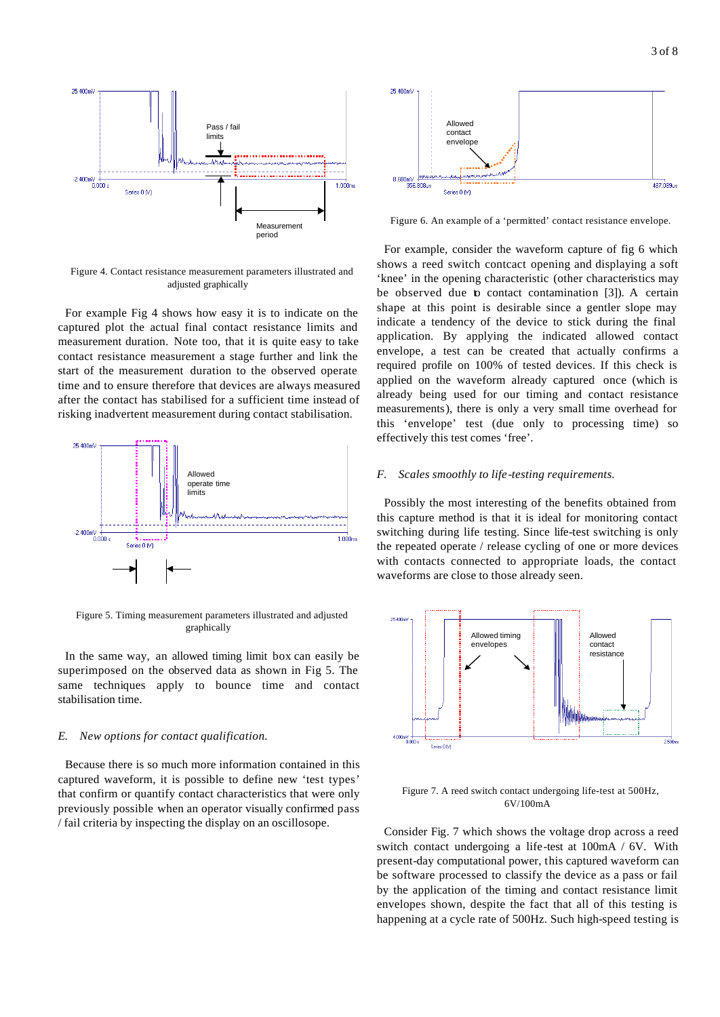

Figure 4. Contact resistance measurement parameters illustrated and adjusted graphically

For example Fig 4 shows how easy it is to indicate on the captured plot the actual final contact resistance limits and measurement duration. Note too, that it is quite easy to take contact resistance measurement a stage further and link the start of the measurement duration to the observed operate time and to ensure therefore that devices are always measured after the contact has stabilised for a sufficient time instead of risking inadvertent measurement during contact stabilisation.



Figure 5. Timing measurement parameters illustrated and adjusted graphically

In the same way, an allowed timing limit box can easily be superimposed on the observed data as shown in Fig 5. The same techniques apply to bounce time and contact stabilisation time.

#### *E. New options for contact qualification.*

Because there is so much more information contained in this captured waveform, it is possible to define new 'test types' that confirm or quantify contact characteristics that were only previously possible when an operator visually confirmed pass / fail criteria by inspecting the display on an oscillosope.



Figure 6. An example of a 'permitted' contact resistance envelope.

For example, consider the waveform capture of fig 6 which shows a reed switch contcact opening and displaying a soft 'knee' in the opening characteristic (other characteristics may be observed due to contact contamination [3]). A certain shape at this point is desirable since a gentler slope may indicate a tendency of the device to stick during the final application. By applying the indicated allowed contact envelope, a test can be created that actually confirms a required profile on 100% of tested devices. If this check is applied on the waveform already captured once (which is already being used for our timing and contact resistance measurements), there is only a very small time overhead for this 'envelope' test (due only to processing time) so effectively this test comes 'free'.

#### *F. Scales smoothly to life-testing requirements.*

Possibly the most interesting of the benefits obtained from this capture method is that it is ideal for monitoring contact switching during life testing. Since life-test switching is only the repeated operate / release cycling of one or more devices with contacts connected to appropriate loads, the contact waveforms are close to those already seen.



Figure 7. A reed switch contact undergoing life-test at 500Hz, 6V/100mA

Consider Fig. 7 which shows the voltage drop across a reed switch contact undergoing a life-test at 100mA / 6V. With present-day computational power, this captured waveform can be software processed to classify the device as a pass or fail by the application of the timing and contact resistance limit envelopes shown, despite the fact that all of this testing is happening at a cycle rate of 500Hz. Such high-speed testing is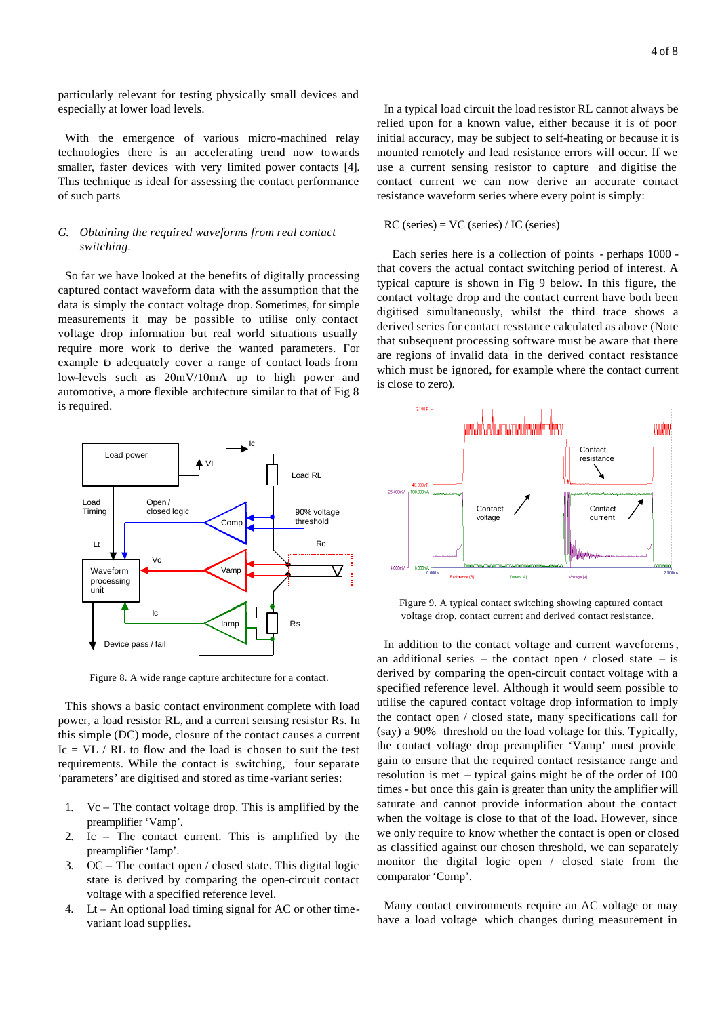particularly relevant for testing physically small devices and especially at lower load levels.

With the emergence of various micro-machined relay technologies there is an accelerating trend now towards smaller, faster devices with very limited power contacts [4]. This technique is ideal for assessing the contact performance of such parts

# *G. Obtaining the required waveforms from real contact switching.*

So far we have looked at the benefits of digitally processing captured contact waveform data with the assumption that the data is simply the contact voltage drop. Sometimes, for simple measurements it may be possible to utilise only contact voltage drop information but real world situations usually require more work to derive the wanted parameters. For example to adequately cover a range of contact loads from low-levels such as 20mV/10mA up to high power and automotive, a more flexible architecture similar to that of Fig 8 is required.



Figure 8. A wide range capture architecture for a contact.

This shows a basic contact environment complete with load power, a load resistor RL, and a current sensing resistor Rs. In this simple (DC) mode, closure of the contact causes a current Ic  $=$  VL  $/$  RL to flow and the load is chosen to suit the test requirements. While the contact is switching, four separate 'parameters' are digitised and stored as time-variant series:

- 1. Vc The contact voltage drop. This is amplified by the preamplifier 'Vamp'.
- 2. Ic The contact current. This is amplified by the preamplifier 'Iamp'.
- 3. OC The contact open / closed state. This digital logic state is derived by comparing the open-circuit contact voltage with a specified reference level.
- 4. Lt An optional load timing signal for AC or other timevariant load supplies.

In a typical load circuit the load resistor RL cannot always be relied upon for a known value, either because it is of poor initial accuracy, may be subject to self-heating or because it is mounted remotely and lead resistance errors will occur. If we use a current sensing resistor to capture and digitise the contact current we can now derive an accurate contact resistance waveform series where every point is simply:

#### RC (series) = VC (series) / IC (series)

 Each series here is a collection of points - perhaps 1000 that covers the actual contact switching period of interest. A typical capture is shown in Fig 9 below. In this figure, the contact voltage drop and the contact current have both been digitised simultaneously, whilst the third trace shows a derived series for contact resistance calculated as above (Note that subsequent processing software must be aware that there are regions of invalid data in the derived contact resistance which must be ignored, for example where the contact current is close to zero).



Figure 9. A typical contact switching showing captured contact voltage drop, contact current and derived contact resistance.

In addition to the contact voltage and current waveforems, an additional series – the contact open  $/$  closed state – is derived by comparing the open-circuit contact voltage with a specified reference level. Although it would seem possible to utilise the capured contact voltage drop information to imply the contact open / closed state, many specifications call for (say) a 90% threshold on the load voltage for this. Typically, the contact voltage drop preamplifier 'Vamp' must provide gain to ensure that the required contact resistance range and resolution is met – typical gains might be of the order of 100 times - but once this gain is greater than unity the amplifier will saturate and cannot provide information about the contact when the voltage is close to that of the load. However, since we only require to know whether the contact is open or closed as classified against our chosen threshold, we can separately monitor the digital logic open / closed state from the comparator 'Comp'.

Many contact environments require an AC voltage or may have a load voltage which changes during measurement in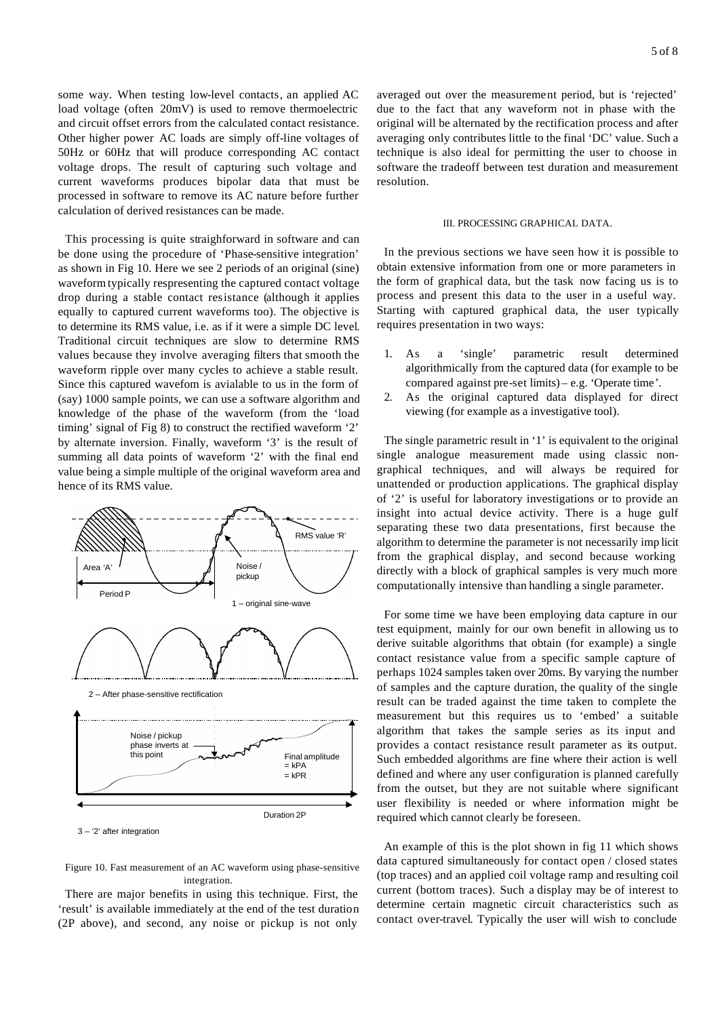some way. When testing low-level contacts, an applied AC load voltage (often 20mV) is used to remove thermoelectric and circuit offset errors from the calculated contact resistance. Other higher power AC loads are simply off-line voltages of 50Hz or 60Hz that will produce corresponding AC contact voltage drops. The result of capturing such voltage and current waveforms produces bipolar data that must be processed in software to remove its AC nature before further calculation of derived resistances can be made.

This processing is quite straighforward in software and can be done using the procedure of 'Phase-sensitive integration' as shown in Fig 10. Here we see 2 periods of an original (sine) waveform typically respresenting the captured contact voltage drop during a stable contact resistance (although it applies equally to captured current waveforms too). The objective is to determine its RMS value, i.e. as if it were a simple DC level. Traditional circuit techniques are slow to determine RMS values because they involve averaging filters that smooth the waveform ripple over many cycles to achieve a stable result. Since this captured wavefom is avialable to us in the form of (say) 1000 sample points, we can use a software algorithm and knowledge of the phase of the waveform (from the 'load timing' signal of Fig 8) to construct the rectified waveform '2' by alternate inversion. Finally, waveform '3' is the result of summing all data points of waveform '2' with the final end value being a simple multiple of the original waveform area and hence of its RMS value.



3 – '2' after integration

Figure 10. Fast measurement of an AC waveform using phase-sensitive integration.

There are major benefits in using this technique. First, the 'result' is available immediately at the end of the test duration (2P above), and second, any noise or pickup is not only

averaged out over the measurement period, but is 'rejected' due to the fact that any waveform not in phase with the original will be alternated by the rectification process and after averaging only contributes little to the final 'DC' value. Such a technique is also ideal for permitting the user to choose in software the tradeoff between test duration and measurement resolution.

#### III. PROCESSING GRAPHICAL DATA.

In the previous sections we have seen how it is possible to obtain extensive information from one or more parameters in the form of graphical data, but the task now facing us is to process and present this data to the user in a useful way. Starting with captured graphical data, the user typically requires presentation in two ways:

- 1. As a 'single' parametric result determined algorithmically from the captured data (for example to be compared against pre-set limits) – e.g. 'Operate time'.
- 2. As the original captured data displayed for direct viewing (for example as a investigative tool).

The single parametric result in '1' is equivalent to the original single analogue measurement made using classic nongraphical techniques, and will always be required for unattended or production applications. The graphical display of '2' is useful for laboratory investigations or to provide an insight into actual device activity. There is a huge gulf separating these two data presentations, first because the algorithm to determine the parameter is not necessarily imp licit from the graphical display, and second because working directly with a block of graphical samples is very much more computationally intensive than handling a single parameter.

For some time we have been employing data capture in our test equipment, mainly for our own benefit in allowing us to derive suitable algorithms that obtain (for example) a single contact resistance value from a specific sample capture of perhaps 1024 samples taken over 20ms. By varying the number of samples and the capture duration, the quality of the single result can be traded against the time taken to complete the measurement but this requires us to 'embed' a suitable algorithm that takes the sample series as its input and provides a contact resistance result parameter as its output. Such embedded algorithms are fine where their action is well defined and where any user configuration is planned carefully from the outset, but they are not suitable where significant user flexibility is needed or where information might be required which cannot clearly be foreseen.

An example of this is the plot shown in fig 11 which shows data captured simultaneously for contact open / closed states (top traces) and an applied coil voltage ramp and resulting coil current (bottom traces). Such a display may be of interest to determine certain magnetic circuit characteristics such as contact over-travel. Typically the user will wish to conclude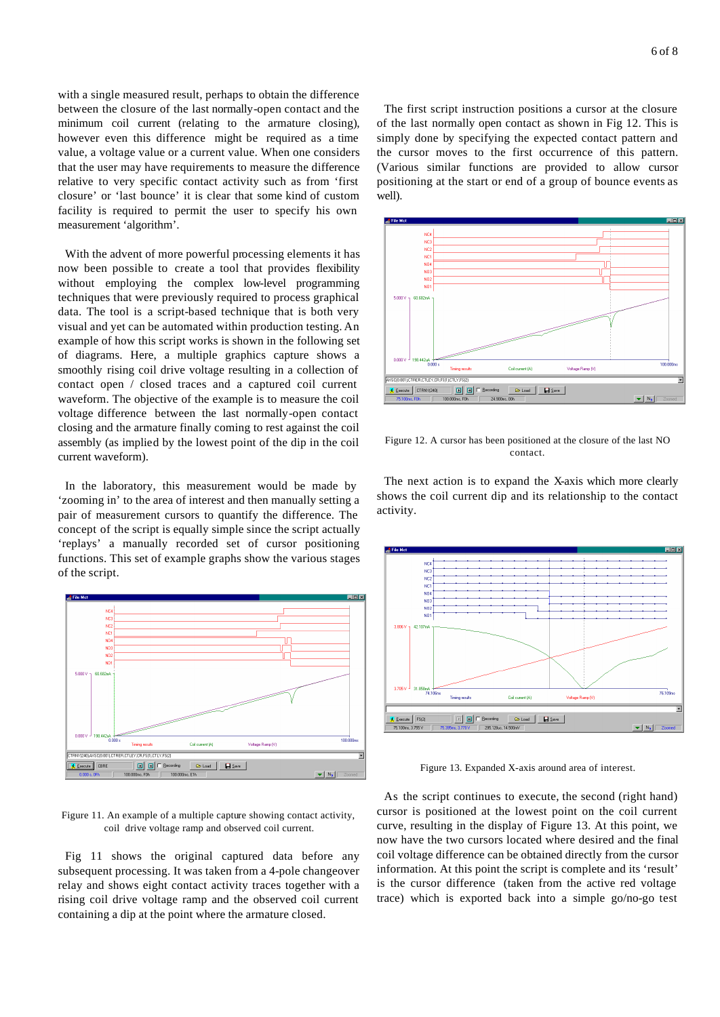with a single measured result, perhaps to obtain the difference between the closure of the last normally-open contact and the minimum coil current (relating to the armature closing), however even this difference might be required as a time value, a voltage value or a current value. When one considers that the user may have requirements to measure the difference relative to very specific contact activity such as from 'first closure' or 'last bounce' it is clear that some kind of custom facility is required to permit the user to specify his own measurement 'algorithm'.

With the advent of more powerful processing elements it has now been possible to create a tool that provides flexibility without employing the complex low-level programming techniques that were previously required to process graphical data. The tool is a script-based technique that is both very visual and yet can be automated within production testing. An example of how this script works is shown in the following set of diagrams. Here, a multiple graphics capture shows a smoothly rising coil drive voltage resulting in a collection of contact open / closed traces and a captured coil current waveform. The objective of the example is to measure the coil voltage difference between the last normally-open contact closing and the armature finally coming to rest against the coil assembly (as implied by the lowest point of the dip in the coil current waveform).

In the laboratory, this measurement would be made by 'zooming in' to the area of interest and then manually setting a pair of measurement cursors to quantify the difference. The concept of the script is equally simple since the script actually 'replays' a manually recorded set of cursor positioning functions. This set of example graphs show the various stages of the script.



Figure 11. An example of a multiple capture showing contact activity, coil drive voltage ramp and observed coil current.

Fig 11 shows the original captured data before any subsequent processing. It was taken from a 4-pole changeover relay and shows eight contact activity traces together with a rising coil drive voltage ramp and the observed coil current containing a dip at the point where the armature closed.

The first script instruction positions a cursor at the closure of the last normally open contact as shown in Fig 12. This is simply done by specifying the expected contact pattern and the cursor moves to the first occurrence of this pattern. (Various similar functions are provided to allow cursor positioning at the start or end of a group of bounce events as well).



Figure 12. A cursor has been positioned at the closure of the last NO contact.

The next action is to expand the X-axis which more clearly shows the coil current dip and its relationship to the contact activity.



Figure 13. Expanded X-axis around area of interest.

As the script continues to execute, the second (right hand) cursor is positioned at the lowest point on the coil current curve, resulting in the display of Figure 13. At this point, we now have the two cursors located where desired and the final coil voltage difference can be obtained directly from the cursor information. At this point the script is complete and its 'result' is the cursor difference (taken from the active red voltage trace) which is exported back into a simple go/no-go test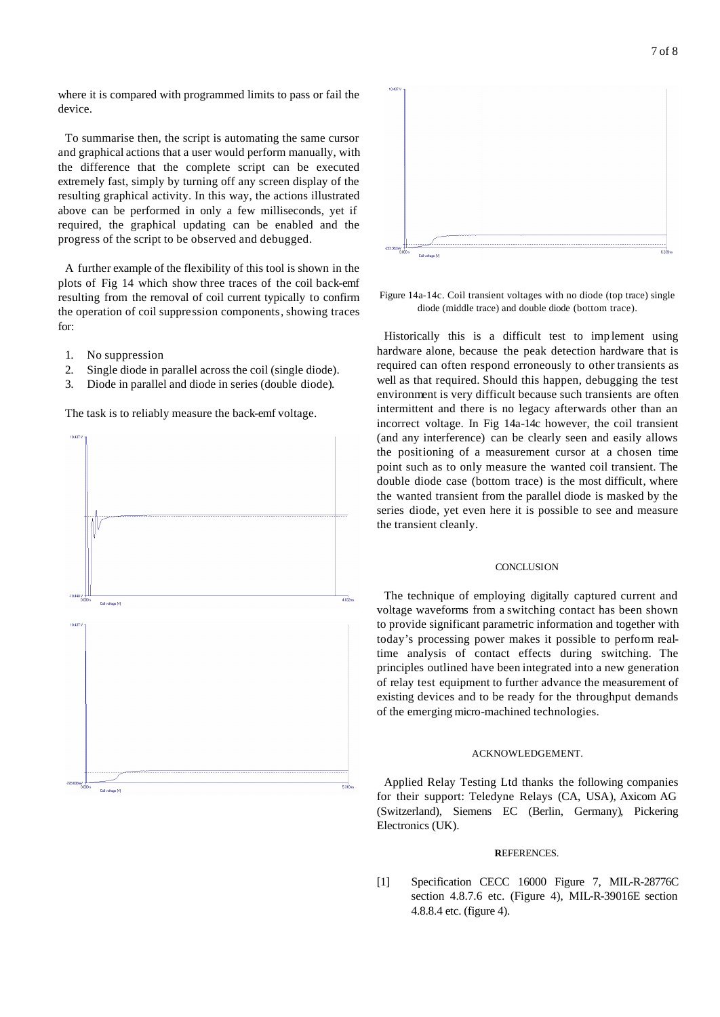where it is compared with programmed limits to pass or fail the device.

To summarise then, the script is automating the same cursor and graphical actions that a user would perform manually, with the difference that the complete script can be executed extremely fast, simply by turning off any screen display of the resulting graphical activity. In this way, the actions illustrated above can be performed in only a few milliseconds, yet if required, the graphical updating can be enabled and the progress of the script to be observed and debugged.

A further example of the flexibility of this tool is shown in the plots of Fig 14 which show three traces of the coil back-emf resulting from the removal of coil current typically to confirm the operation of coil suppression components, showing traces for:

- 1. No suppression
- 2. Single diode in parallel across the coil (single diode).
- 3. Diode in parallel and diode in series (double diode).

The task is to reliably measure the back-emf voltage.





Figure 14a-14c. Coil transient voltages with no diode (top trace) single diode (middle trace) and double diode (bottom trace).

Historically this is a difficult test to imp lement using hardware alone, because the peak detection hardware that is required can often respond erroneously to other transients as well as that required. Should this happen, debugging the test environment is very difficult because such transients are often intermittent and there is no legacy afterwards other than an incorrect voltage. In Fig 14a-14c however, the coil transient (and any interference) can be clearly seen and easily allows the positioning of a measurement cursor at a chosen time point such as to only measure the wanted coil transient. The double diode case (bottom trace) is the most difficult, where the wanted transient from the parallel diode is masked by the series diode, yet even here it is possible to see and measure the transient cleanly.

### **CONCLUSION**

The technique of employing digitally captured current and voltage waveforms from a switching contact has been shown to provide significant parametric information and together with today's processing power makes it possible to perform realtime analysis of contact effects during switching. The principles outlined have been integrated into a new generation of relay test equipment to further advance the measurement of existing devices and to be ready for the throughput demands of the emerging micro-machined technologies.

#### ACKNOWLEDGEMENT.

Applied Relay Testing Ltd thanks the following companies for their support: Teledyne Relays (CA, USA), Axicom AG (Switzerland), Siemens EC (Berlin, Germany), Pickering Electronics (UK).

#### **R**EFERENCES.

[1] Specification CECC 16000 Figure 7, MIL-R-28776C section 4.8.7.6 etc. (Figure 4), MIL-R-39016E section 4.8.8.4 etc. (figure 4).